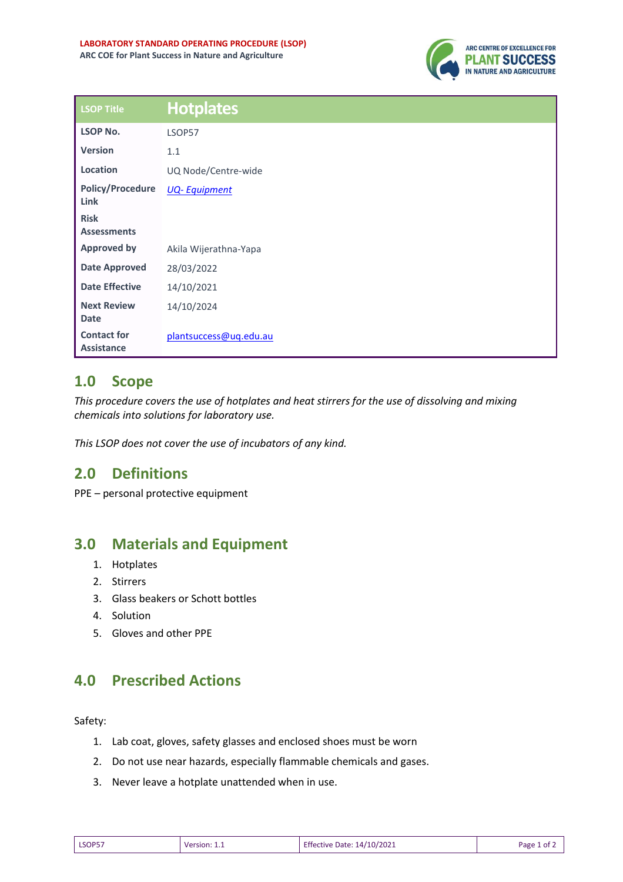

| <b>LSOP Title</b>                       | <b>Hotplates</b>       |
|-----------------------------------------|------------------------|
| <b>LSOP No.</b>                         | LSOP57                 |
| <b>Version</b>                          | 1.1                    |
| Location                                | UQ Node/Centre-wide    |
| <b>Policy/Procedure</b><br>Link         | <b>UQ-Equipment</b>    |
| <b>Risk</b><br><b>Assessments</b>       |                        |
| <b>Approved by</b>                      | Akila Wijerathna-Yapa  |
| <b>Date Approved</b>                    | 28/03/2022             |
| <b>Date Effective</b>                   | 14/10/2021             |
| <b>Next Review</b><br><b>Date</b>       | 14/10/2024             |
| <b>Contact for</b><br><b>Assistance</b> | plantsuccess@uq.edu.au |

## **1.0 Scope**

*This procedure covers the use of hotplates and heat stirrers for the use of dissolving and mixing chemicals into solutions for laboratory use.* 

*This LSOP does not cover the use of incubators of any kind.*

## **2.0 Definitions**

PPE – personal protective equipment

## **3.0 Materials and Equipment**

- 1. Hotplates
- 2. Stirrers
- 3. Glass beakers or Schott bottles
- 4. Solution
- 5. Gloves and other PPE

## **4.0 Prescribed Actions**

Safety:

- 1. Lab coat, gloves, safety glasses and enclosed shoes must be worn
- 2. Do not use near hazards, especially flammable chemicals and gases.
- 3. Never leave a hotplate unattended when in use.

| LSOP57 | Version: | 14/10/2021          | Page |
|--------|----------|---------------------|------|
|        |          | Effective Date: 14/ | οt   |